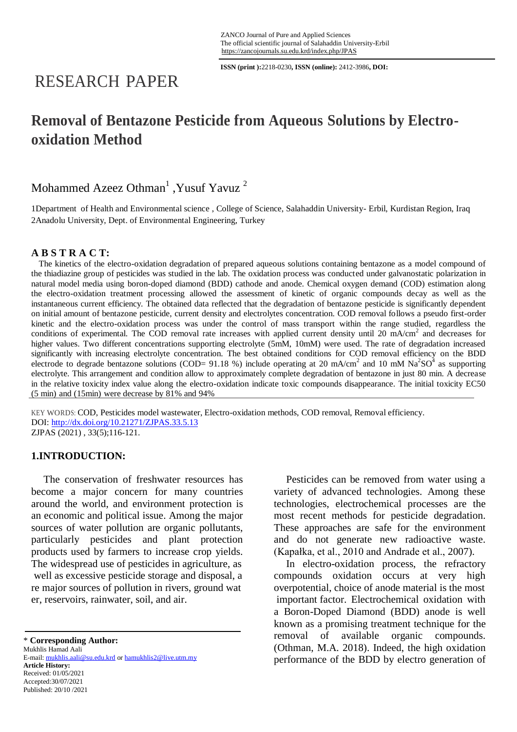**ISSN (print ):**2218-0230**, ISSN (online):** 2412-3986**, DOI:**

# RESEARCH PAPER

# **Removal of Bentazone Pesticide from Aqueous Solutions by Electrooxidation Method**

# Mohammed Azeez Othman<sup>1</sup>, Yusuf Yavuz<sup>2</sup>

1Department of Health and Environmental science , College of Science, Salahaddin University- Erbil, Kurdistan Region, Iraq 2Anadolu University, Dept. of Environmental Engineering, Turkey

# **A B S T R A C T:**

The kinetics of the electro-oxidation degradation of prepared aqueous solutions containing bentazone as a model compound of the thiadiazine group of pesticides was studied in the lab. The oxidation process was conducted under galvanostatic polarization in natural model media using boron-doped diamond (BDD) cathode and anode. Chemical oxygen demand (COD) estimation along the electro-oxidation treatment processing allowed the assessment of kinetic of organic compounds decay as well as the instantaneous current efficiency. The obtained data reflected that the degradation of bentazone pesticide is significantly dependent on initial amount of bentazone pesticide, current density and electrolytes concentration. COD removal follows a pseudo first-order kinetic and the electro-oxidation process was under the control of mass transport within the range studied, regardless the conditions of experimental. The COD removal rate increases with applied current density until 20 mA/cm<sup>2</sup> and decreases for higher values. Two different concentrations supporting electrolyte (5mM, 10mM) were used. The rate of degradation increased significantly with increasing electrolyte concentration. The best obtained conditions for COD removal efficiency on the BDD electrode to degrade bentazone solutions (COD= 91.18 %) include operating at 20 mA/cm<sup>2</sup> and 10 mM Na<sup>2</sup>SO<sup>4</sup> as supporting electrolyte. This arrangement and condition allow to approximately complete degradation of bentazone in just 80 min. A decrease in the relative toxicity index value along the electro-oxidation indicate toxic compounds disappearance. The initial toxicity EC50 (5 min) and (15min) were decrease by 81% and 94%

KEY WORDS: COD, Pesticides model wastewater, Electro-oxidation methods, COD removal, Removal efficiency. DOI:<http://dx.doi.org/10.21271/ZJPAS.33.5.13> ZJPAS (2021) , 33(5);116-121.

# **1.INTRODUCTION:**

The conservation of freshwater resources has become a major concern for many countries around the world, and environment protection is an economic and political issue. Among the major sources of water pollution are organic pollutants, particularly pesticides and plant protection products used by farmers to increase crop yields. The widespread use of pesticides in agriculture, as well as excessive pesticide storage and disposal, a re major sources of pollution in rivers, ground wat er, reservoirs, rainwater, soil, and air.

\* **Corresponding Author:**

Mukhlis Hamad Aali E-mail: mukhlis.aali@su.edu.krd or hamukhlis2@live.utm.my **Article History:** Received: 01/05/2021 Accepted:30/07/2021 Published: 20/10 /2021

Pesticides can be removed from water using a variety of advanced technologies. Among these technologies, electrochemical processes are the most recent methods for pesticide degradation. These approaches are safe for the environment and do not generate new radioactive waste. (Kapałka, et al., 2010 and Andrade et al., 2007).

In electro-oxidation process, the refractory compounds oxidation occurs at very high overpotential, choice of anode material is the most important factor. Electrochemical oxidation with a Boron-Doped Diamond (BDD) anode is well known as a promising treatment technique for the removal of available organic compounds. (Othman, M.A. 2018). Indeed, the high oxidation performance of the BDD by electro generation of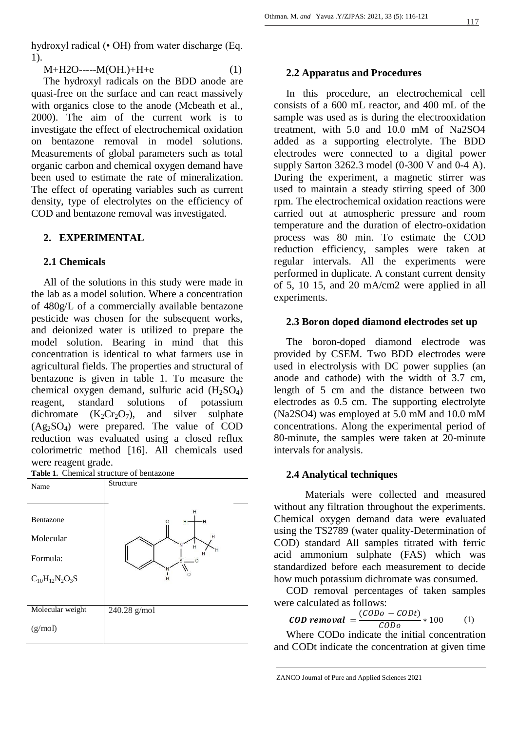hydroxyl radical (• OH) from water discharge (Eq. 1).

 $M+H2O---M(OH.)+H+e$  (1)

The hydroxyl radicals on the BDD anode are quasi-free on the surface and can react massively with organics close to the anode (Mcbeath et al., 2000). The aim of the current work is to investigate the effect of electrochemical oxidation on bentazone removal in model solutions. Measurements of global parameters such as total organic carbon and chemical oxygen demand have been used to estimate the rate of mineralization. The effect of operating variables such as current density, type of electrolytes on the efficiency of COD and bentazone removal was investigated.

## **2. EXPERIMENTAL**

## **2.1 Chemicals**

All of the solutions in this study were made in the lab as a model solution. Where a concentration of 480g/L of a commercially available bentazone pesticide was chosen for the subsequent works, and deionized water is utilized to prepare the model solution. Bearing in mind that this concentration is identical to what farmers use in agricultural fields. The properties and structural of bentazone is given in table 1. To measure the chemical oxygen demand, sulfuric acid  $(H_2SO_4)$ reagent, standard solutions of potassium dichromate  $(K_2Cr_2O_7)$ , and silver sulphate  $(Ag_2SO_4)$  were prepared. The value of COD reduction was evaluated using a closed reflux colorimetric method [16]. All chemicals used were reagent grade.



#### **2.2 Apparatus and Procedures**

In this procedure, an electrochemical cell consists of a 600 mL reactor, and 400 mL of the sample was used as is during the electrooxidation treatment, with 5.0 and 10.0 mM of Na2SO4 added as a supporting electrolyte. The BDD electrodes were connected to a digital power supply Sarton 3262.3 model (0-300 V and 0-4 A). During the experiment, a magnetic stirrer was used to maintain a steady stirring speed of 300 rpm. The electrochemical oxidation reactions were carried out at atmospheric pressure and room temperature and the duration of electro-oxidation process was 80 min. To estimate the COD reduction efficiency, samples were taken at regular intervals. All the experiments were performed in duplicate. A constant current density of 5, 10 15, and 20 mA/cm2 were applied in all experiments.

#### **2.3 Boron doped diamond electrodes set up**

The boron-doped diamond electrode was provided by CSEM. Two BDD electrodes were used in electrolysis with DC power supplies (an anode and cathode) with the width of 3.7 cm, length of 5 cm and the distance between two electrodes as 0.5 cm. The supporting electrolyte (Na2SO4) was employed at 5.0 mM and 10.0 mM concentrations. Along the experimental period of 80-minute, the samples were taken at 20-minute intervals for analysis.

#### **2.4 Analytical techniques**

Materials were collected and measured without any filtration throughout the experiments. Chemical oxygen demand data were evaluated using the TS2789 (water quality-Determination of COD) standard All samples titrated with ferric acid ammonium sulphate (FAS) which was standardized before each measurement to decide how much potassium dichromate was consumed.

COD removal percentages of taken samples were calculated as follows:

**CD** removal = 
$$
\frac{(CODo - CODt)}{CODo} * 100
$$
 (1)

Where CODo indicate the initial concentration and CODt indicate the concentration at given time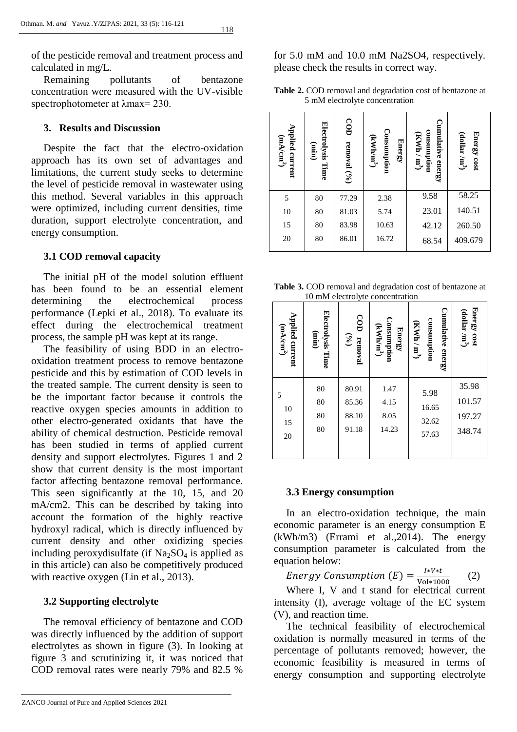118

of the pesticide removal and treatment process and calculated in mg/L.

Remaining pollutants of bentazone concentration were measured with the UV-visible spectrophotometer at λmax= 230.

## **3. Results and Discussion**

Despite the fact that the electro-oxidation approach has its own set of advantages and limitations, the current study seeks to determine the level of pesticide removal in wastewater using this method. Several variables in this approach were optimized, including current densities, time duration, support electrolyte concentration, and energy consumption.

#### **3.1 COD removal capacity**

The initial pH of the model solution effluent has been found to be an essential element determining the electrochemical process performance (Lepki et al., 2018). To evaluate its effect during the electrochemical treatment process, the sample pH was kept at its range.

The feasibility of using BDD in an electrooxidation treatment process to remove bentazone pesticide and this by estimation of COD levels in the treated sample. The current density is seen to be the important factor because it controls the reactive oxygen species amounts in addition to other electro-generated oxidants that have the ability of chemical destruction. Pesticide removal has been studied in terms of applied current density and support electrolytes. Figures 1 and 2 show that current density is the most important factor affecting bentazone removal performance. This seen significantly at the 10, 15, and 20 mA/cm2. This can be described by taking into account the formation of the highly reactive hydroxyl radical, which is directly influenced by current density and other oxidizing species including peroxydisulfate (if  $Na<sub>2</sub>SO<sub>4</sub>$  is applied as in this article) can also be competitively produced with reactive oxygen (Lin et al., 2013).

#### **3.2 Supporting electrolyte**

The removal efficiency of bentazone and COD was directly influenced by the addition of support electrolytes as shown in figure (3). In looking at figure 3 and scrutinizing it, it was noticed that COD removal rates were nearly 79% and 82.5 %

ZANCO Journal of Pure and Applied Sciences 2021

for 5.0 mM and 10.0 mM Na2SO4, respectively. please check the results in correct way.

| Table 2. COD removal and degradation cost of bentazone at |  |
|-----------------------------------------------------------|--|
| 5 mM electrolyte concentration                            |  |

| pplied current<br>(mA/cm <sup>2</sup> ) | Electrolysis Time<br>(min) | COD<br>removal (%) | Consumption<br>$(KWh/m^3)$<br><b>Energy</b> | Cumulative energy<br>consumption<br>(KWh / m <sup>3</sup> ) | Energy cost<br>(dollar / $m^3$ ) |
|-----------------------------------------|----------------------------|--------------------|---------------------------------------------|-------------------------------------------------------------|----------------------------------|
| 5                                       | 80                         | 77.29              | 2.38                                        | 9.58                                                        | 58.25                            |
| 10                                      | 80                         | 81.03              | 5.74                                        | 23.01                                                       | 140.51                           |
| 15                                      | 80                         | 83.98              | 10.63                                       | 42.12                                                       | 260.50                           |
| 20                                      | 80                         | 86.01              | 16.72                                       | 68.54                                                       | 409.679                          |

**Table 3.** COD removal and degradation cost of bentazone at 10 mM electrolyte concentration

|                                                                                                                                                                                                                                                                                                                                                                                                    | Applied current<br>(mA/cm <sup>2</sup> )        | Electrolysis Time<br>(min) | OD removal $(96)$                                         | Consumption<br>(kWhhmi)<br><b>Energy</b> | umulative energy<br>consumption<br>$(KWh/m^3)$  | Energy cost<br>$(dollar/m^3)$            |  |  |
|----------------------------------------------------------------------------------------------------------------------------------------------------------------------------------------------------------------------------------------------------------------------------------------------------------------------------------------------------------------------------------------------------|-------------------------------------------------|----------------------------|-----------------------------------------------------------|------------------------------------------|-------------------------------------------------|------------------------------------------|--|--|
|                                                                                                                                                                                                                                                                                                                                                                                                    | 5                                               | 80                         | 77.29                                                     | 2.38                                     | 9.58                                            | 58.25                                    |  |  |
|                                                                                                                                                                                                                                                                                                                                                                                                    | 10                                              | 80                         | 81.03                                                     | 5.74                                     | 23.01                                           | 140.51                                   |  |  |
|                                                                                                                                                                                                                                                                                                                                                                                                    | 15                                              | 80                         | 83.98                                                     | 10.63                                    | 42.12                                           | 260.50                                   |  |  |
|                                                                                                                                                                                                                                                                                                                                                                                                    | 20                                              | 80                         | 86.01                                                     | 16.72                                    | 68.54                                           | 409.679                                  |  |  |
| Table 3. COD removal and degradation cost of bentazone at<br>10 mM electrolyte concentration                                                                                                                                                                                                                                                                                                       |                                                 |                            |                                                           |                                          |                                                 |                                          |  |  |
|                                                                                                                                                                                                                                                                                                                                                                                                    | <b>Applied current</b><br>(mA/cm <sup>2</sup> ) | Electrolysis Time<br>(uin) | COD removal<br>$\begin{pmatrix} 0/\sqrt{9} \end{pmatrix}$ | Consumption<br>(kWhhmi)<br><b>Energy</b> | 'umulative energy<br>consumption<br>$KWh / m^3$ | Energy cost<br>(dollar /m <sup>3</sup> ) |  |  |
|                                                                                                                                                                                                                                                                                                                                                                                                    |                                                 | 80                         | 80.91                                                     | 1.47                                     | 5.98                                            | 35.98                                    |  |  |
|                                                                                                                                                                                                                                                                                                                                                                                                    | 5                                               | 80                         | 85.36                                                     | 4.15                                     | 16.65                                           | 101.57                                   |  |  |
|                                                                                                                                                                                                                                                                                                                                                                                                    | 10<br>15                                        | 80                         | 88.10                                                     | 8.05                                     | 32.62                                           | 197.27                                   |  |  |
|                                                                                                                                                                                                                                                                                                                                                                                                    | 20                                              | 80                         | 91.18                                                     | 14.23                                    | 57.63                                           | 348.74                                   |  |  |
|                                                                                                                                                                                                                                                                                                                                                                                                    |                                                 |                            |                                                           |                                          |                                                 |                                          |  |  |
| 3.3 Energy consumption<br>the<br>In 1<br>an electro-oxidation technique,<br>main<br>economic parameter is an energy consumption E<br>(kWh/m3) (Errami et al., 2014). The energy<br>consumption parameter is calculated from the<br>equation below:                                                                                                                                                 |                                                 |                            |                                                           |                                          |                                                 |                                          |  |  |
| <i>Energy Consumption</i> $(E) = \frac{I*V*t}{Vol*1000}$<br>(2)<br>Where I, V and t stand for electrical current<br>intensity (I), average voltage of the EC system<br>(V), and reaction time.<br>The technical feasibility of electrochemical<br>oxidation is normally measured in terms of the<br>percentage of pollutants removed; however, the<br>economic feasibility is measured in terms of |                                                 |                            |                                                           |                                          |                                                 |                                          |  |  |
|                                                                                                                                                                                                                                                                                                                                                                                                    | energy consumption and supporting electrolyte   |                            |                                                           |                                          |                                                 |                                          |  |  |

# **3.3 Energy consumption**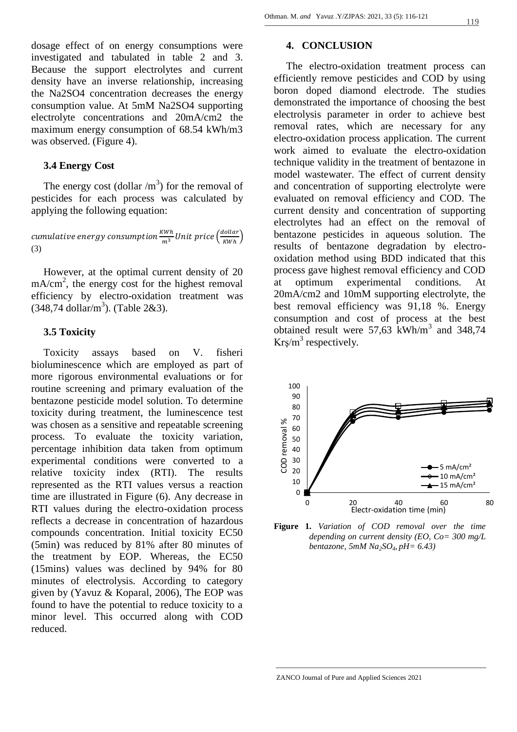dosage effect of on energy consumptions were investigated and tabulated in table 2 and 3. Because the support electrolytes and current density have an inverse relationship, increasing the Na2SO4 concentration decreases the energy consumption value. At 5mM Na2SO4 supporting electrolyte concentrations and 20mA/cm2 the maximum energy consumption of 68.54 kWh/m3 was observed. (Figure 4).

#### **3.4 Energy Cost**

The energy cost (dollar  $/m<sup>3</sup>$ ) for the removal of pesticides for each process was calculated by applying the following equation:

cumulative energy consumption  $\frac{KWh}{m^3}$ Unit price  $\Big(\frac{d}{l}\Big)$  $\frac{w_i}{KWh}$ (3)

However, at the optimal current density of 20 mA/cm<sup>2</sup>, the energy cost for the highest removal efficiency by electro-oxidation treatment was (348,74 dollar/m<sup>3</sup>). (Table 2&3).

# **3.5 Toxicity**

Toxicity assays based on V. fisheri bioluminescence which are employed as part of more rigorous environmental evaluations or for routine screening and primary evaluation of the bentazone pesticide model solution. To determine toxicity during treatment, the luminescence test was chosen as a sensitive and repeatable screening process. To evaluate the toxicity variation, percentage inhibition data taken from optimum experimental conditions were converted to a relative toxicity index (RTI). The results represented as the RTI values versus a reaction time are illustrated in Figure (6). Any decrease in RTI values during the electro-oxidation process reflects a decrease in concentration of hazardous compounds concentration. Initial toxicity EC50 (5min) was reduced by 81% after 80 minutes of the treatment by EOP. Whereas, the EC50 (15mins) values was declined by 94% for 80 minutes of electrolysis. According to category given by (Yavuz & Koparal, 2006), The EOP was found to have the potential to reduce toxicity to a minor level. This occurred along with COD reduced.

#### **4. CONCLUSION**

The electro-oxidation treatment process can efficiently remove pesticides and COD by using boron doped diamond electrode. The studies demonstrated the importance of choosing the best electrolysis parameter in order to achieve best removal rates, which are necessary for any electro-oxidation process application. The current work aimed to evaluate the electro-oxidation technique validity in the treatment of bentazone in model wastewater. The effect of current density and concentration of supporting electrolyte were evaluated on removal efficiency and COD. The current density and concentration of supporting electrolytes had an effect on the removal of bentazone pesticides in aqueous solution. The results of bentazone degradation by electrooxidation method using BDD indicated that this process gave highest removal efficiency and COD at optimum experimental conditions. At 20mA/cm2 and 10mM supporting electrolyte, the best removal efficiency was 91,18 %. Energy consumption and cost of process at the best obtained result were 57,63 kWh/m<sup>3</sup> and 348,74  $Kr\sin^3$  respectively.



**Figure 1.** *Variation of COD removal over the time depending on current density (EO, Co= 300 mg/L bentazone, 5mM Na2SO4, pH= 6.43)*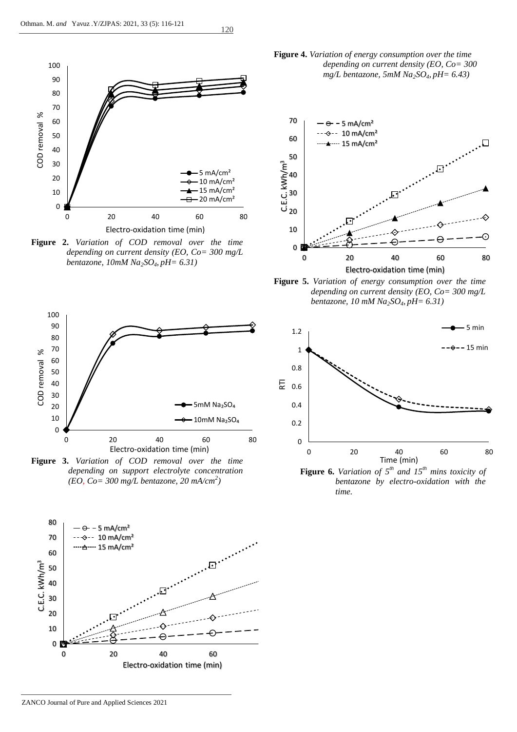

120

**Figure 2.** *Variation of COD removal over the time depending on current density (EO, Co= 300 mg/L bentazone, 10mM Na2SO4, pH= 6.31)*



**Figure 3.** *Variation of COD removal over the time depending on support electrolyte concentration (EO, Co= 300 mg/L bentazone, 20 mA/cm<sup>2</sup> )*



**Figure 4.** *Variation of energy consumption over the time depending on current density (EO, Co= 300 mg/L bentazone, 5mM Na2SO4, pH= 6.43)*



**Figure 5.** *Variation of energy consumption over the time depending on current density (EO, Co= 300 mg/L bentazone, 10 mM Na2SO4, pH= 6.31)*



 **Figure 6.** *Variation of*  $5<sup>th</sup>$  *and*  $15<sup>th</sup>$  *mins toxicity of bentazone by electro-oxidation with the time.*